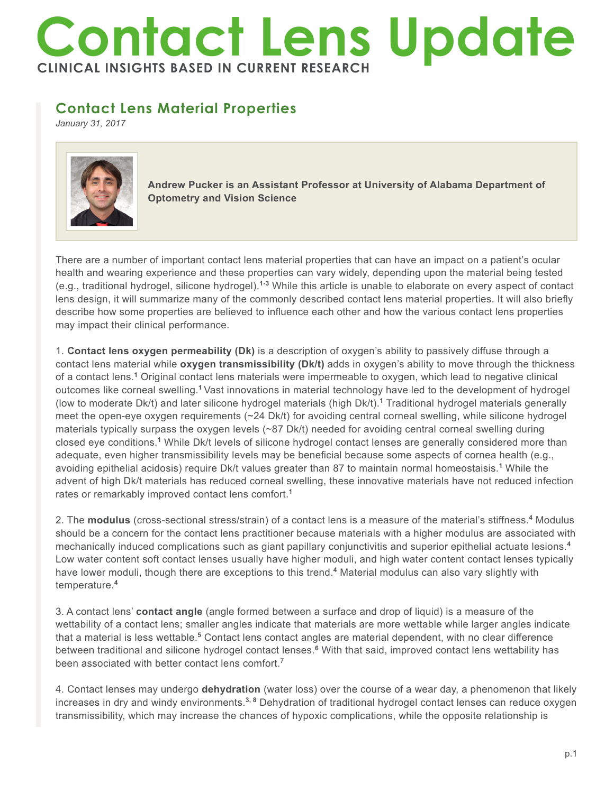## **Contact Lens Update CLINICAL INSIGHTS BASED IN CURRENT RESEARCH**

## **Contact Lens Material Properties**

*January 31, 2017*



**Andrew Pucker is an Assistant Professor at University of Alabama Department of Optometry and Vision Science**

There are a number of important contact lens material properties that can have an impact on a patient's ocular health and wearing experience and these properties can vary widely, depending upon the material being tested (e.g., traditional hydrogel, silicone hydrogel).**1-3** While this article is unable to elaborate on every aspect of contact lens design, it will summarize many of the commonly described contact lens material properties. It will also briefly describe how some properties are believed to influence each other and how the various contact lens properties may impact their clinical performance.

1. **Contact lens oxygen permeability (Dk)** is a description of oxygen's ability to passively diffuse through a contact lens material while **oxygen transmissibility (Dk/t)** adds in oxygen's ability to move through the thickness of a contact lens.**<sup>1</sup>** Original contact lens materials were impermeable to oxygen, which lead to negative clinical outcomes like corneal swelling.**<sup>1</sup>**Vast innovations in material technology have led to the development of hydrogel (low to moderate Dk/t) and later silicone hydrogel materials (high Dk/t).**<sup>1</sup>** Traditional hydrogel materials generally meet the open-eye oxygen requirements (~24 Dk/t) for avoiding central corneal swelling, while silicone hydrogel materials typically surpass the oxygen levels (~87 Dk/t) needed for avoiding central corneal swelling during closed eye conditions.**<sup>1</sup>** While Dk/t levels of silicone hydrogel contact lenses are generally considered more than adequate, even higher transmissibility levels may be beneficial because some aspects of cornea health (e.g., avoiding epithelial acidosis) require Dk/t values greater than 87 to maintain normal homeostaisis.**<sup>1</sup>** While the advent of high Dk/t materials has reduced corneal swelling, these innovative materials have not reduced infection rates or remarkably improved contact lens comfort.**<sup>1</sup>**

2. The **modulus** (cross-sectional stress/strain) of a contact lens is a measure of the material's stiffness.**<sup>4</sup>** Modulus should be a concern for the contact lens practitioner because materials with a higher modulus are associated with mechanically induced complications such as giant papillary conjunctivitis and superior epithelial actuate lesions.**<sup>4</sup>** Low water content soft contact lenses usually have higher moduli, and high water content contact lenses typically have lower moduli, though there are exceptions to this trend.<sup>4</sup> Material modulus can also vary slightly with temperature.**<sup>4</sup>**

3. A contact lens' **contact angle** (angle formed between a surface and drop of liquid) is a measure of the wettability of a contact lens; smaller angles indicate that materials are more wettable while larger angles indicate that a material is less wettable.<sup>5</sup> Contact lens contact angles are material dependent, with no clear difference between traditional and silicone hydrogel contact lenses.**<sup>6</sup>** With that said, improved contact lens wettability has been associated with better contact lens comfort.**<sup>7</sup>**

4. Contact lenses may undergo **dehydration** (water loss) over the course of a wear day, a phenomenon that likely increases in dry and windy environments.**3, 8** Dehydration of traditional hydrogel contact lenses can reduce oxygen transmissibility, which may increase the chances of hypoxic complications, while the opposite relationship is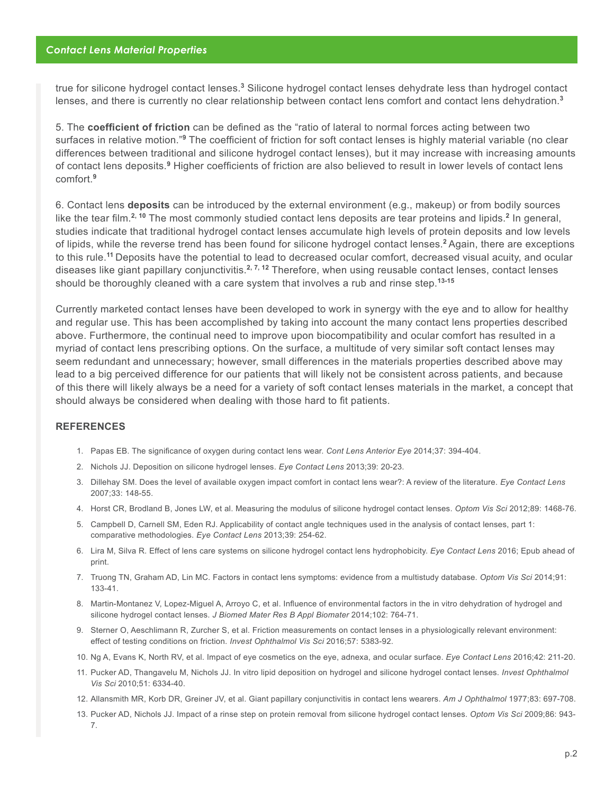true for silicone hydrogel contact lenses.<sup>3</sup> Silicone hydrogel contact lenses dehydrate less than hydrogel contact lenses, and there is currently no clear relationship between contact lens comfort and contact lens dehydration.**<sup>3</sup>**

5. The **coefficient of friction** can be defined as the "ratio of lateral to normal forces acting between two surfaces in relative motion."<sup>9</sup> The coefficient of friction for soft contact lenses is highly material variable (no clear differences between traditional and silicone hydrogel contact lenses), but it may increase with increasing amounts of contact lens deposits.<sup>9</sup> Higher coefficients of friction are also believed to result in lower levels of contact lens comfort.**<sup>9</sup>**

6. Contact lens **deposits** can be introduced by the external environment (e.g., makeup) or from bodily sources like the tear film.**2, 10** The most commonly studied contact lens deposits are tear proteins and lipids.**<sup>2</sup>** In general, studies indicate that traditional hydrogel contact lenses accumulate high levels of protein deposits and low levels of lipids, while the reverse trend has been found for silicone hydrogel contact lenses.**<sup>2</sup>**Again, there are exceptions to this rule.**<sup>11</sup>**Deposits have the potential to lead to decreased ocular comfort, decreased visual acuity, and ocular diseases like giant papillary conjunctivitis.**2, 7, 12** Therefore, when using reusable contact lenses, contact lenses should be thoroughly cleaned with a care system that involves a rub and rinse step.**13-15**

Currently marketed contact lenses have been developed to work in synergy with the eye and to allow for healthy and regular use. This has been accomplished by taking into account the many contact lens properties described above. Furthermore, the continual need to improve upon biocompatibility and ocular comfort has resulted in a myriad of contact lens prescribing options. On the surface, a multitude of very similar soft contact lenses may seem redundant and unnecessary; however, small differences in the materials properties described above may lead to a big perceived difference for our patients that will likely not be consistent across patients, and because of this there will likely always be a need for a variety of soft contact lenses materials in the market, a concept that should always be considered when dealing with those hard to fit patients.

## **REFERENCES**

- 1. Papas EB. The significance of oxygen during contact lens wear. *Cont Lens Anterior Eye* 2014;37: 394-404.
- 2. Nichols JJ. Deposition on silicone hydrogel lenses. *Eye Contact Lens* 2013;39: 20-23.
- 3. Dillehay SM. Does the level of available oxygen impact comfort in contact lens wear?: A review of the literature. *Eye Contact Lens*  2007;33: 148-55.
- 4. Horst CR, Brodland B, Jones LW, et al. Measuring the modulus of silicone hydrogel contact lenses. *Optom Vis Sci* 2012;89: 1468-76.
- 5. Campbell D, Carnell SM, Eden RJ. Applicability of contact angle techniques used in the analysis of contact lenses, part 1: comparative methodologies. *Eye Contact Lens* 2013;39: 254-62.
- 6. Lira M, Silva R. Effect of lens care systems on silicone hydrogel contact lens hydrophobicity. *Eye Contact Lens* 2016; Epub ahead of print.
- 7. Truong TN, Graham AD, Lin MC. Factors in contact lens symptoms: evidence from a multistudy database. *Optom Vis Sci* 2014;91: 133-41.
- 8. Martin-Montanez V, Lopez-Miguel A, Arroyo C, et al. Influence of environmental factors in the in vitro dehydration of hydrogel and silicone hydrogel contact lenses. *J Biomed Mater Res B Appl Biomater* 2014;102: 764-71.
- 9. Sterner O, Aeschlimann R, Zurcher S, et al. Friction measurements on contact lenses in a physiologically relevant environment: effect of testing conditions on friction. *Invest Ophthalmol Vis Sci* 2016;57: 5383-92.
- 10. Ng A, Evans K, North RV, et al. Impact of eye cosmetics on the eye, adnexa, and ocular surface. *Eye Contact Lens* 2016;42: 211-20.
- 11. Pucker AD, Thangavelu M, Nichols JJ. In vitro lipid deposition on hydrogel and silicone hydrogel contact lenses. *Invest Ophthalmol Vis Sci* 2010;51: 6334-40.
- 12. Allansmith MR, Korb DR, Greiner JV, et al. Giant papillary conjunctivitis in contact lens wearers. *Am J Ophthalmol* 1977;83: 697-708.
- 13. Pucker AD, Nichols JJ. Impact of a rinse step on protein removal from silicone hydrogel contact lenses. *Optom Vis Sci* 2009;86: 943- 7.